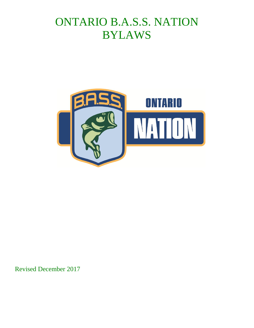# ONTARIO B.A.S.S. NATION BYLAWS



Revised December 2017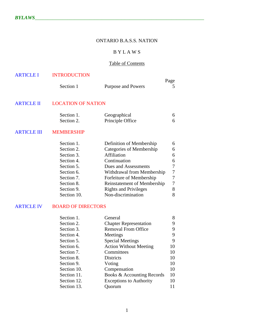# ONTARIO B.A.S.S. NATION

## B Y L A W S

## Table of Contents

|           |                    | Page |
|-----------|--------------------|------|
| Section 1 | Purpose and Powers |      |

# ARTICLE II LOCATION OF NATION

| Section 1. | Geographical     |  |
|------------|------------------|--|
| Section 2. | Principle Office |  |

#### ARTICLE III MEMBERSHIP

| Section 1.  | Definition of Membership           | 6 |
|-------------|------------------------------------|---|
| Section 2.  | Categories of Membership           | 6 |
| Section 3.  | Affiliation                        | 6 |
| Section 4.  | Continuation                       | 6 |
| Section 5.  | Dues and Assessments               | 7 |
| Section 6.  | Withdrawal from Membership         | 7 |
| Section 7.  | Forfeiture of Membership           | 7 |
| Section 8.  | <b>Reinstatement of Membership</b> | 7 |
| Section 9.  | <b>Rights and Privileges</b>       | 8 |
| Section 10. | Non-discrimination                 | 8 |

## ARTICLE IV BOARD OF DIRECTORS

| Section 1.  | General                        | 8  |
|-------------|--------------------------------|----|
| Section 2.  | <b>Chapter Representation</b>  | 9  |
| Section 3.  | <b>Removal From Office</b>     | 9  |
| Section 4.  | Meetings                       | 9  |
| Section 5.  | <b>Special Meetings</b>        | 9  |
| Section 6.  | <b>Action Without Meeting</b>  | 10 |
| Section 7.  | Committees                     | 10 |
| Section 8.  | <b>Districts</b>               | 10 |
| Section 9.  | Voting                         | 10 |
| Section 10. | Compensation                   | 10 |
| Section 11. | Books & Accounting Records     | 10 |
| Section 12. | <b>Exceptions to Authority</b> | 10 |
| Section 13. | Quorum                         |    |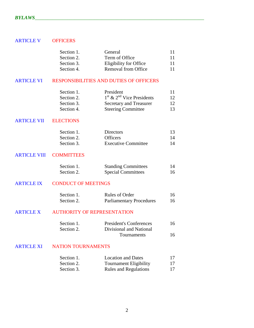## ARTICLE V OFFICERS

| Section 1. | General                    | 11 |
|------------|----------------------------|----|
| Section 2. | Term of Office             | 11 |
| Section 3. | Eligibility for Office     | 11 |
| Section 4. | <b>Removal from Office</b> | 11 |

#### ARTICLE VI RESPONSIBILITIES AND DUTIES OF OFFICERS

| Section 1. | President                     | 11 |
|------------|-------------------------------|----|
| Section 2. | $1st$ & $2nd$ Vice Presidents | 12 |
| Section 3. | Secretary and Treasurer       | 12 |
| Section 4. | <b>Steering Committee</b>     | 13 |

#### ARTICLE VII ELECTIONS

| Section 1. | <b>Directors</b>           | 13 |
|------------|----------------------------|----|
| Section 2. | <b>Officers</b>            | 14 |
| Section 3. | <b>Executive Committee</b> | 14 |

## ARTICLE VIII COMMITTEES

| Section 1. | <b>Standing Committees</b> | 14 |
|------------|----------------------------|----|
| Section 2. | <b>Special Committees</b>  | 16 |

## ARTICLE IX CONDUCT OF MEETINGS

| Section 1. | Rules of Order                  | 16 |
|------------|---------------------------------|----|
| Section 2. | <b>Parliamentary Procedures</b> | 16 |

## ARTICLE X AUTHORITY OF REPRESENTATION

| Section 1. | <b>President's Conferences</b> | 16 |
|------------|--------------------------------|----|
| Section 2. | Divisional and National        |    |
|            | <b>Tournaments</b>             | 16 |

## ARTICLE XI NATION TOURNAMENTS

| Section 1. | <b>Location and Dates</b>     | 17 |
|------------|-------------------------------|----|
| Section 2. | <b>Tournament Eligibility</b> | 17 |
| Section 3. | <b>Rules and Regulations</b>  | 17 |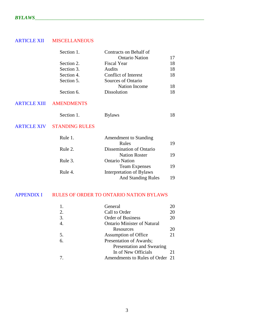# ARTICLE XII MISCELLANEOUS

| Section 1. | Contracts on Behalf of |    |
|------------|------------------------|----|
|            | <b>Ontario Nation</b>  | 17 |
| Section 2. | <b>Fiscal Year</b>     | 18 |
| Section 3. | Audits                 | 18 |
| Section 4. | Conflict of Interest   | 18 |
| Section 5. | Sources of Ontario     |    |
|            | <b>Nation Income</b>   | 18 |
| Section 6. | <b>Dissolution</b>     | 18 |

## ARTICLE XIII AMENDMENTS

| Section 1. | <b>Bylaws</b> |  |
|------------|---------------|--|
|------------|---------------|--|

# ARTICLE XIV STANDING RULES

| Rule 1. | <b>Amendment to Standing</b> |    |
|---------|------------------------------|----|
|         | Rules                        | 19 |
| Rule 2. | Dissemination of Ontario     |    |
|         | <b>Nation Roster</b>         | 19 |
| Rule 3. | <b>Ontario Nation</b>        |    |
|         | <b>Team Expenses</b>         | 19 |
| Rule 4. | Interpretation of Bylaws     |    |
|         | <b>And Standing Rules</b>    | 19 |

# APPENDIX I RULES OF ORDER TO ONTARIO NATION BYLAWS

|    | General                            | 20 |
|----|------------------------------------|----|
| 2. | Call to Order                      | 20 |
| 3. | <b>Order of Business</b>           | 20 |
|    | <b>Ontario Minister of Natural</b> |    |
|    | Resources                          | 20 |
| 5. | Assumption of Office               | 21 |
| 6. | Presentation of Awards;            |    |
|    | Presentation and Swearing          |    |
|    | In of New Officials                | 21 |
|    | Amendments to Rules of Order 21    |    |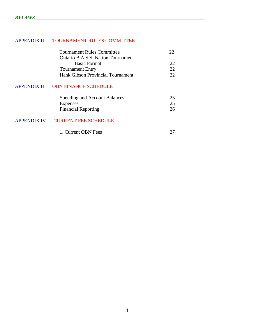# APPENDIX II TOURNAMENT RULES COMMITTEE

| <b>Tournament Rules Committee</b>  |              |
|------------------------------------|--------------|
| Ontario B.A.S.S. Nation Tournament |              |
| <b>Basic Format</b>                |              |
| <b>Tournament Entry</b>            | $22^{\circ}$ |
| Hank Gibson Provincial Tournament  | າາ           |

## APPENDIX III OBN FINANCE SCHEDULE

| <b>Spending and Account Balances</b> |    |
|--------------------------------------|----|
| <b>Expenses</b>                      | 25 |
| <b>Financial Reporting</b>           | 26 |

# APPENDIX IV CURRENT FEE SCHEDULE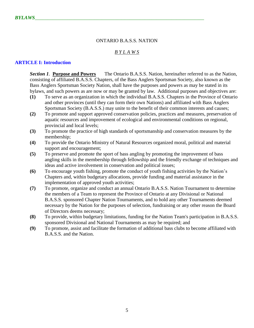#### ONTARIO B.A.S.S. NATION

## *B Y L A W S*

#### **ARTICLE I: Introduction**

*Section 1*. **Purpose and Powers** The Ontario B.A.S.S. Nation, hereinafter referred to as the Nation, consisting of affiliated B.A.S.S. Chapters, of the Bass Anglers Sportsman Society, also known as the Bass Anglers Sportsman Society Nation, shall have the purposes and powers as may be stated in its bylaws, and such powers as are now or may be granted by law. Additional purposes and objectives are:

- **(1)** To serve as an organization in which the individual B.A.S.S. Chapters in the Province of Ontario and other provinces (until they can form their own Nations) and affiliated with Bass Anglers Sportsman Society (B.A.S.S.) may unite to the benefit of their common interests and causes;
- **(2)** To promote and support approved conservation policies, practices and measures, preservation of aquatic resources and improvement of ecological and environmental conditions on regional, provincial and local levels;
- **(3)** To promote the practice of high standards of sportsmanship and conservation measures by the membership;
- **(4)** To provide the Ontario Ministry of Natural Resources organized moral, political and material support and encouragement;
- **(5)** To preserve and promote the sport of bass angling by promoting the improvement of bass angling skills in the membership through fellowship and the friendly exchange of techniques and ideas and active involvement in conservation and political issues;
- **(6)** To encourage youth fishing, promote the conduct of youth fishing activities by the Nation's Chapters and, within budgetary allocations, provide funding and material assistance in the implementation of approved youth activities;
- **(7)** To promote, organize and conduct an annual Ontario B.A.S.S. Nation Tournament to determine the members of a Team to represent the Province of Ontario at any Divisional or National B.A.S.S. sponsored Chapter Nation Tournaments, and to hold any other Tournaments deemed necessary by the Nation for the purposes of selection, fundraising or any other reason the Board of Directors deems necessary;
- **(8)** To provide, within budgetary limitations, funding for the Nation Team's participation in B.A.S.S. sponsored Divisional and National Tournaments as may be required; and
- **(9)** To promote, assist and facilitate the formation of additional bass clubs to become affiliated with B.A.S.S. and the Nation.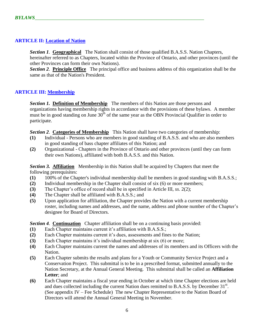## **ARTICLE II: Location of Nation**

*Section 1*. **Geographical** The Nation shall consist of those qualified B.A.S.S. Nation Chapters, hereinafter referred to as Chapters, located within the Province of Ontario, and other provinces (until the other Provinces can form their own Nations).

*Section 2*. **Principle Office** The principal office and business address of this organization shall be the same as that of the Nation's President.

## **ARTICLE III: Membership**

**Section 1. Definition of Membership** The members of this Nation are those persons and organizations having membership rights in accordance with the provisions of these bylaws. A member must be in good standing on June  $30<sup>th</sup>$  of the same year as the OBN Provincial Qualifier in order to participate.

*Section 2*. **Categories of Membership** This Nation shall have two categories of membership:

- **(1)** Individual Persons who are members in good standing of B.A.S.S. and who are also members in good standing of bass chapter affiliates of this Nation; and
- **(2)** Organizational Chapters in the Province of Ontario and other provinces (until they can form their own Nations), affiliated with both B.A.S.S. and this Nation.

*Section 3.* **Affiliation** Membership in this Nation shall be acquired by Chapters that meet the following prerequisites:

- **(1)** 100% of the Chapter's individual membership shall be members in good standing with B.A.S.S.;
- **(2)** Individual membership in the Chapter shall consist of six (6) or more members;
- **(3)** The Chapter's office of record shall be in specified in Article III, *ss*. 2(2);
- **(4)** The Chapter shall be affiliated with B.A.S.S.; and
- **(5)** Upon application for affiliation, the Chapter provides the Nation with a current membership roster, including names and addresses, and the name, address and phone number of the Chapter's designee for Board of Directors.

*Section 4*. **Continuation** Chapter affiliation shall be on a continuing basis provided:

- **(1)** Each Chapter maintains current it's affiliation with B.A.S.S.;
- **(2)** Each Chapter maintains current it's dues, assessments and fines to the Nation;
- **(3)** Each Chapter maintains it's individual membership at six (6) or more;
- **(4)** Each Chapter maintains current the names and addresses of its members and its Officers with the Nation.
- **(5)** Each Chapter submits the results and plans for a Youth or Community Service Project and a Conservation Project. This submittal is to be in a prescribed format, submitted annually to the Nation Secretary, at the Annual General Meeting. This submittal shall be called an **Affiliation Letter**; and
- **(6)** Each Chapter maintains a fiscal year ending in October at which time Chapter elections are held and dues collected including the current Nation dues remitted to B.A.S.S. by December 31<sup>st</sup>. (See appendix IV – Fee Schedule) The new Chapter Representative to the Nation Board of Directors will attend the Annual General Meeting in November.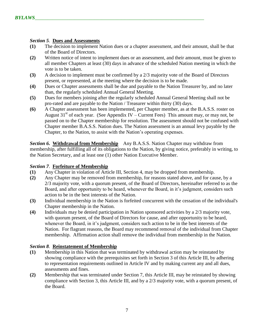#### *Section 5*. **Dues and Assessments**

- **(1)** The decision to implement Nation dues or a chapter assessment, and their amount, shall be that of the Board of Directors.
- **(2)** Written notice of intent to implement dues or an assessment, and their amount, must be given to all member Chapters at least (30) days in advance of the scheduled Nation meeting in which the vote is to be taken.
- **(3)** A decision to implement must be confirmed by a 2/3 majority vote of the Board of Directors present, or represented, at the meeting where the decision is to be made.
- **(4)** Dues or Chapter assessments shall be due and payable to the Nation Treasurer by, and no later than, the regularly scheduled Annual General Meeting.
- **(5)** Dues for members joining after the regularly scheduled Annual General Meeting shall not be pro-rated and are payable to the Nation / Treasurer within thirty (30) days.
- **(6)** A Chapter assessment has been implemented, per Chapter member, as at the B.A.S.S. roster on August  $31<sup>st</sup>$  of each year. (See Appendix IV – Current Fees) This amount may, or may not, be passed on to the Chapter membership for resolution. The assessment should not be confused with Chapter member B.A.S.S. Nation dues. The Nation assessment is an annual levy payable by the Chapter, to the Nation, to assist with the Nation's operating expenses.

**Section 6. Withdrawal from Membership** Any B.A.S.S. Nation Chapter may withdraw from membership, after fulfilling all of its obligations to the Nation, by giving notice, preferably in writing, to the Nation Secretary, and at least one (1) other Nation Executive Member.

## *Section 7*. **Forfeiture of Membership**

- **(1)** Any Chapter in violation of Article III, Section 4, may be dropped from membership.
- **(2)** Any Chapter may be removed from membership, for reasons stated above, and for cause, by a 2/3 majority vote, with a quorum present, of the Board of Directors, hereinafter referred to as the Board, and after opportunity to be heard, whenever the Board, in it's judgment, considers such action to be in the best interests of the Nation.
- **(3)** Individual membership in the Nation is forfeited concurrent with the cessation of the individual's Chapter membership in the Nation.
- **(4)** Individuals may be denied participation in Nation sponsored activities by a 2/3 majority vote, with quorum present, of the Board of Directors for cause, and after opportunity to be heard, whenever the Board, in it's judgment, considers such action to be in the best interests of the Nation. For flagrant reasons, the Board may recommend removal of the individual from Chapter membership. Affirmation action shall remove the individual from membership in the Nation.

## *Section 8*. **Reinstatement of Membership**

- **(1)** Membership in this Nation that was terminated by withdrawal action may be reinstated by showing compliance with the prerequisites set forth in Section 3 of this Article III, by adhering to representation requirements outlined in Article IV and by making current any and all dues, assessments and fines.
- **(2)** Membership that was terminated under Section 7, this Article III, may be reinstated by showing compliance with Section 3, this Article III, and by a 2/3 majority vote, with a quorum present, of the Board.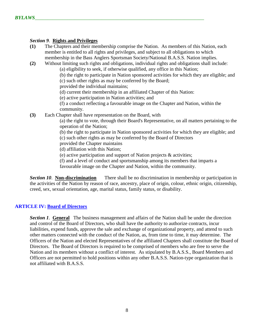## *Section 9*. **Rights and Privileges**

- **(1)** The Chapters and their membership comprise the Nation. As members of this Nation, each member is entitled to all rights and privileges, and subject to all obligations to which membership in the Bass Anglers Sportsman Society/National B.A.S.S. Nation implies.
- **(2)** Without limiting such rights and obligations, individual rights and obligations shall include: (a) eligibility to seek, if otherwise qualified, any office in this Nation;

(b) the right to participate in Nation sponsored activities for which they are eligible; and (c) such other rights as may be conferred by the Board;

provided the individual maintains;

(d) current their membership in an affiliated Chapter of this Nation:

(e) active participation in Nation activities; and

(f) a conduct reflecting a favourable image on the Chapter and Nation, within the community.

**(3)** Each Chapter shall have representation on the Board, with

(a) the right to vote, through their Board's Representative, on all matters pertaining to the operation of the Nation;

(b) the right to participate in Nation sponsored activities for which they are eligible; and (c) such other rights as may be conferred by the Board of Directors

provided the Chapter maintains

(d) affiliation with this Nation;

(e) active participation and support of Nation projects & activities;

(f) and a level of conduct and sportsmanship among its members that imparts a

favourable image on the Chapter and Nation, within the community.

*Section 10*. **Non-discrimination** There shall be no discrimination in membership or participation in the activities of the Nation by reason of race, ancestry, place of origin, colour, ethnic origin, citizenship, creed, sex, sexual orientation, age, marital status, family status, or disability.

## **ARTICLE IV: Board of Directors**

*Section 1*. **General** The business management and affairs of the Nation shall be under the direction and control of the Board of Directors, who shall have the authority to authorize contracts, incur liabilities, expend funds, approve the sale and exchange of organizational property, and attend to such other matters connected with the conduct of the Nation, as, from time to time, it may determine. The Officers of the Nation and elected Representatives of the affiliated Chapters shall constitute the Board of Directors. The Board of Directors is required to be comprised of members who are free to serve the Nation and its members without a conflict of interest. As stipulated by B.A.S.S., Board Members and Officers are not permitted to hold positions within any other B.A.S.S. Nation-type organization that is not affiliated with B.A.S.S.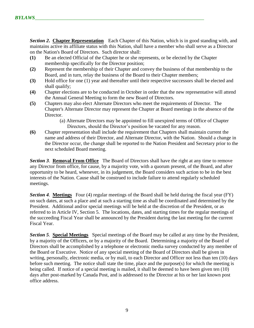**Section 2. Chapter Representation** Each Chapter of this Nation, which is in good standing with, and maintains active its affiliate status with this Nation, shall have a member who shall serve as a Director on the Nation's Board of Directors. Such director shall:

- **(1)** Be an elected Official of the Chapter he or she represents, or be elected by the Chapter membership specifically for the Director position;
- **(2)** Represent the membership of their Chapter and convey the business of that membership to the Board, and in turn, relay the business of the Board to their Chapter members;
- **(3)** Hold office for one (1) year and thereafter until their respective successors shall be elected and shall qualify;
- **(4)** Chapter elections are to be conducted in October in order that the new representative will attend the Annual General Meeting to form the new Board of Directors.
- **(5)** Chapters may also elect Alternate Directors who meet the requirements of Director. The Chapter's Alternate Director may represent the Chapter at Board meetings in the absence of the Director.

(a) Alternate Directors may be appointed to fill unexpired terms of Office of Chapter Directors, should the Director's position be vacated for any reason.

**(6)** Chapter representation shall include the requirement that Chapters shall maintain current the name and address of their Director, and Alternate Director, with the Nation. Should a change in the Director occur, the change shall be reported to the Nation President and Secretary prior to the next scheduled Board meeting.

*Section 3*. **Removal From Office** The Board of Directors shall have the right at any time to remove any Director from office, for cause, by a majority vote, with a quorum present, of the Board, and after opportunity to be heard, whenever, in its judgement, the Board considers such action to be in the best interests of the Nation. Cause shall be construed to include failure to attend regularly scheduled meetings.

*Section 4*. **Meetings** Four (4) regular meetings of the Board shall be held during the fiscal year (FY) on such dates, at such a place and at such a starting time as shall be coordinated and determined by the President. Additional and/or special meetings will be held at the discretion of the President, or as referred to in Article IV, Section 5. The locations, dates, and starting times for the regular meetings of the succeeding Fiscal Year shall be announced by the President during the last meeting for the current Fiscal Year.

*Section 5*. **Special Meetings** Special meetings of the Board may be called at any time by the President, by a majority of the Officers, or by a majority of the Board. Determining a majority of the Board of Directors shall be accomplished by a telephone or electronic media survey conducted by any member of the Board or Executive. Notice of any special meeting of the Board of Directors shall be given in writing, personally, electronic media, or by mail, to each Director and Officer not less than ten (10) days before such meeting. The notice shall state the time, place and the purpose(s) for which the meeting is being called. If notice of a special meeting is mailed, it shall be deemed to have been given ten (10) days after post-marked by Canada Post, and is addressed to the Director at his or her last known post office address.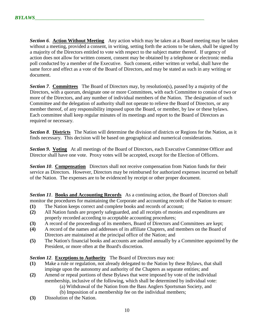**Section 6. Action Without Meeting** Any action which may be taken at a Board meeting may be taken without a meeting, provided a consent, in writing, setting forth the actions to be taken, shall be signed by a majority of the Directors entitled to vote with respect to the subject matter thereof. If urgency of action does not allow for written consent, consent may be obtained by a telephone or electronic media poll conducted by a member of the Executive. Such consent, either written or verbal, shall have the same force and effect as a vote of the Board of Directors, and may be stated as such in any writing or document.

*Section 7*. **Committees** The Board of Directors may, by resolution(s), passed by a majority of the Directors, with a quorum, designate one or more Committees, with each Committee to consist of two or more of the Directors, and any number of individual members of the Nation. The designation of such Committee and the delegation of authority shall not operate to relieve the Board of Directors, or any member thereof, of any responsibility imposed upon the Board, or member, by law or these bylaws. Each committee shall keep regular minutes of its meetings and report to the Board of Directors as required or necessary.

*Section 8*. **Districts** The Nation will determine the division of districts or Regions for the Nation, as it finds necessary. This decision will be based on geographical and numerical considerations.

**Section 9. Voting** At all meetings of the Board of Directors, each Executive Committee Officer and Director shall have one vote. Proxy votes will be accepted, except for the Election of Officers.

**Section 10. Compensation** Directors shall not receive compensation from Nation funds for their service as Directors. However, Directors may be reimbursed for authorized expenses incurred on behalf of the Nation. The expenses are to be evidenced by receipt or other proper document.

**Section 11. Books and Accounting Records** As a continuing action, the Board of Directors shall monitor the procedures for maintaining the Corporate and accounting records of the Nation to ensure:

- **(1)** The Nation keeps correct and complete books and records of account;
- **(2)** All Nation funds are properly safeguarded, and all receipts of monies and expenditures are properly recorded according to acceptable accounting procedures;
- **(3)** A record of the proceedings of its members, Board of Directors and Committees are kept;
- **(4)** A record of the names and addresses of its affiliate Chapters, and members on the Board of Directors are maintained at the principal office of the Nation; and
- **(5)** The Nation's financial books and accounts are audited annually by a Committee appointed by the President, or more often at the Board's discretion.

*Section 12*. **Exceptions to Authority** The Board of Directors may not:

- **(1)** Make a rule or regulation, not already delegated to the Nation by these Bylaws, that shall impinge upon the autonomy and authority of the Chapters as separate entities; and
- **(2)** Amend or repeal portions of these Bylaws that were imposed by vote of the individual membership, inclusive of the following, which shall be determined by individual vote:
	- (a) Withdrawal of the Nation from the Bass Anglers Sportsman Society, and
	- (b) Imposition of a membership fee on the individual members;
- **(3)** Dissolution of the Nation.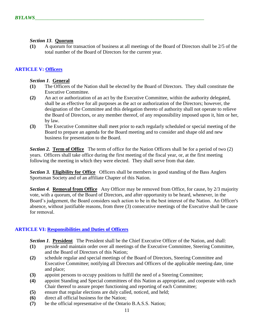## *Section 13*. **Quorum**

**(1)** A quorum for transaction of business at all meetings of the Board of Directors shall be 2/5 of the total number of the Board of Directors for the current year.

# **ARTICLE V: Officers**

## *Section 1*. **General**

- **(1)** The Officers of the Nation shall be elected by the Board of Directors. They shall constitute the Executive Committee.
- **(2)** An act or authorization of an act by the Executive Committee, within the authority delegated, shall be as effective for all purposes as the act or authorization of the Directors; however, the designation of the Committee and this delegation thereto of authority shall not operate to relieve the Board of Directors, or any member thereof, of any responsibility imposed upon it, him or her, by law.
- **(3)** The Executive Committee shall meet prior to each regularly scheduled or special meeting of the Board to prepare an agenda for the Board meeting and to consider and shape old and new business for presentation to the Board.

*Section 2.* **Term of Office** The term of office for the Nation Officers shall be for a period of two (2) years. Officers shall take office during the first meeting of the fiscal year, or, at the first meeting following the meeting in which they were elected. They shall serve from that date.

**Section 3. Eligibility for Office** Officers shall be members in good standing of the Bass Anglers Sportsman Society and of an affiliate Chapter of this Nation.

*Section 4*. **Removal from Office** Any Officer may be removed from Office, for cause, by 2/3 majority vote, with a quorum, of the Board of Directors, and after opportunity to be heard, whenever, in the Board's judgement, the Board considers such action to be in the best interest of the Nation. An Officer's absence, without justifiable reasons, from three (3) consecutive meetings of the Executive shall be cause for removal.

## **ARTICLE VI: Responsibilities and Duties of Officers**

*Section 1*. **President** The President shall be the Chief Executive Officer of the Nation, and shall:

- **(1)** preside and maintain order over all meetings of the Executive Committee, Steering Committee, and the Board of Directors of this Nation;
- **(2)** schedule regular and special meetings of the Board of Directors, Steering Committee and Executive Committee; notifying all Directors and Officers of the applicable meeting date, time and place;
- **(3)** appoint persons to occupy positions to fulfill the need of a Steering Committee;
- **(4)** appoint Standing and Special committees of this Nation as appropriate, and cooperate with each Chair thereof to assure proper functioning and reporting of each Committee;
- **(5)** ensure that regular elections are duly called, noticed, and held;
- **(6)** direct all official business for the Nation;
- **(7)** be the official representative of the Ontario B.A.S.S. Nation;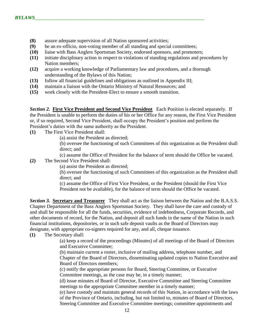- **(8)** assure adequate supervision of all Nation sponsored activities;
- **(9)** be an ex-officio, non-voting member of all standing and special committees;
- **(10)** liaise with Bass Anglers Sportsman Society, endorsed sponsors, and promoters;
- **(11)** initiate disciplinary action in respect to violations of standing regulations and procedures by Nation members;
- **(12)** acquire a working knowledge of Parliamentary law and procedures, and a thorough understanding of the Bylaws of this Nation;
- **(13)** follow all financial guidelines and obligations as outlined in Appendix III;
- **(14)** maintain a liaison with the Ontario Ministry of Natural Resources; and
- **(15)** work closely with the President-Elect to ensure a smooth transition.

*Section 2.* **First Vice President and Second Vice President** Each Position is elected separately. If the President is unable to perform the duties of his or her Office for any reason, the First Vice President or, if so required, Second Vice President, shall occupy the President's position and perform the President's duties with the same authority as the President.

- **(1)** The First Vice President shall:
	- (a) assist the President as directed;

(b) oversee the functioning of such Committees of this organization as the President shall direct; and

(c) assume the Office of President for the balance of term should the Office be vacated.

- **(2)** The Second Vice President shall:
	- (a) assist the President as directed;

(b) oversee the functioning of such Committees of this organization as the President shall direct; and

(c) assume the Office of First Vice President, or the President (should the First Vice President not be available), for the balance of term should the Office be vacated.

*Section 3.* **Secretary and Treasurer** They shall act as the liaison between the Nation and the B.A.S.S. Chapter Department of the Bass Anglers Sportsman Society. They shall have the care and custody of and shall be responsible for all the funds, securities, evidence of indebtedness, Corporate Records, and other documents of record, for the Nation, and deposit all such funds in the name of the Nation in such financial institutions, depositories, or in such safe deposit vaults as the Board of Directors may designate, with appropriate co-signers required for any, and all, cheque issuance.

## **(1)** The Secretary shall:

(a) keep a record of the proceedings (Minutes) of all meetings of the Board of Directors and Executive Committee;

(b) maintain current a roster, inclusive of mailing address, telephone number, and Chapter of the Board of Directors, disseminating updated copies to Nation Executive and Board of Directors members;

(c) notify the appropriate persons for Board, Steering Committee, or Executive Committee meetings, as the case may be, in a timely manner;

(d) issue minutes of Board of Director, Executive Committee and Steering Committee meetings to the appropriate Committee member in a timely manner;

(e) have custody and maintain general records of this Nation, in accordance with the laws of the Province of Ontario, including, but not limited to, minutes of Board of Directors, Steering Committee and Executive Committee meetings; committee appointments and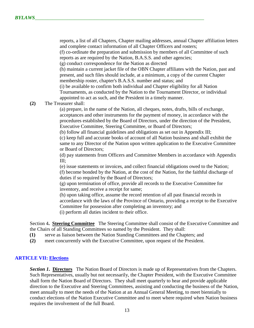reports, a list of all Chapters, Chapter mailing addresses, annual Chapter affiliation letters and complete contact information of all Chapter Officers and rosters;

(f) co-ordinate the preparation and submission by members of all Committee of such reports as are required by the Nation, B.A.S.S. and other agencies;

(g) conduct correspondence for the Nation as directed

(h) maintain a current jacket file of the OBN Chapter affiliates with the Nation, past and present, and such files should include, at a minimum, a copy of the current Chapter membership roster, chapter's B.A.S.S. number and status; and

(i) be available to confirm both individual and Chapter eligibility for all Nation Tournaments, as conducted by the Nation to the Tournament Director, or individual appointed to act as such, and the President in a timely manner.

**(2)** The Treasurer shall:

(a) prepare, in the name of the Nation, all cheques, notes, drafts, bills of exchange, acceptances and other instruments for the payment of money, in accordance with the procedures established by the Board of Directors, under the direction of the President, Executive Committee, Steering Committee, or Board of Directors;

(b) follow all financial guidelines and obligations as set out in Appendix III;

(c) keep full and accurate books of account of all Nation business and shall exhibit the same to any Director of the Nation upon written application to the Executive Committee or Board of Directors;

(d) pay statements from Officers and Committee Members in accordance with Appendix III;

(e) issue statements or invoices, and collect financial obligations owed to the Nation; (f) become bonded by the Nation, at the cost of the Nation, for the faithful discharge of duties if so required by the Board of Directors;

(g) upon termination of office, provide all records to the Executive Committee for inventory, and receive a receipt for same;

(h) upon taking office, assume the record retention of all past financial records in accordance with the laws of the Province of Ontario, providing a receipt to the Executive Committee for possession after completing an inventory; and (i) perform all duties incident to their office.

Section 4. **Steering Committee** The Steering Committee shall consist of the Executive Committee and the Chairs of all Standing Committees so named by the President. They shall:

- **(1)** serve as liaison between the Nation Standing Committees and the Chapters; and
- **(2)** meet concurrently with the Executive Committee, upon request of the President.

## **ARTICLE VII: Elections**

*Section 1***. Directors** The Nation Board of Directors is made up of Representatives from the Chapters. Such Representatives, usually but not necessarily, the Chapter President, with the Executive Committee shall form the Nation Board of Directors. They shall meet quarterly to hear and provide applicable direction to the Executive and Steering Committees, assisting and conducting the business of the Nation, meet annually to meet the needs of the Nation at an Annual General Meeting, to meet biennially to conduct elections of the Nation Executive Committee and to meet where required when Nation business requires the involvement of the full Board.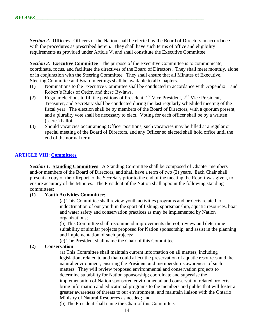**Section 2. Officers** Officers of the Nation shall be elected by the Board of Directors in accordance with the procedures as prescribed herein. They shall have such terms of office and eligibility requirements as provided under Article V, and shall constitute the Executive Committee.

**Section 3. Executive Committee** The purpose of the Executive Committee is to communicate, coordinate, focus, and facilitate the directives of the Board of Directors. They shall meet monthly, alone or in conjunction with the Steering Committee. They shall ensure that all Minutes of Executive, Steering Committee and Board meetings shall be available to all Chapters.

- **(1)** Nominations to the Executive Committee shall be conducted in accordance with Appendix 1 and Robert's Rules of Order, and these By-laws.
- **(2)** Regular elections to fill the positions of President, 1st Vice President, 2nd Vice President, Treasurer, and Secretary shall be conducted during the last regularly scheduled meeting of the fiscal year. The election shall be by members of the Board of Directors, with a quorum present, and a plurality vote shall be necessary to elect. Voting for each officer shall be by a written (secret) ballot.
- **(3)** Should vacancies occur among Officer positions, such vacancies may be filled at a regular or special meeting of the Board of Directors, and any Officer so elected shall hold office until the end of the normal term.

## **ARTICLE VIII: Committees**

**Section 1. Standing Committees** A Standing Committee shall be composed of Chapter members and/or members of the Board of Directors, and shall have a term of two (2) years. Each Chair shall present a copy of their Report to the Secretary prior to the end of the meeting the Report was given, to ensure accuracy of the Minutes. The President of the Nation shall appoint the following standing committees:

## **(1) Youth Activities Committee**:

(a) This Committee shall review youth activities programs and projects related to indoctrination of our youth in the sport of fishing, sportsmanship, aquatic resources, boat and water safety and conservation practices as may be implemented by Nation organizations;

(b) This Committee shall recommend improvements thereof; review and determine suitability of similar projects proposed for Nation sponsorship, and assist in the planning and implementation of such projects;

(c) The President shall name the Chair of this Committee.

## **(2) Conservation**

(a) This Committee shall maintain current information on all matters, including legislation, related to and that could affect the preservation of aquatic resources and the natural environment; ensuring the President and membership's awareness of such matters. They will review proposed environmental and conservation projects to determine suitability for Nation sponsorship; coordinate and supervise the implementation of Nation sponsored environmental and conservation related projects; bring information and educational programs to the members and public that will foster a greater awareness of threats to our environment, and maintain liaison with the Ontario Ministry of Natural Resources as needed; and

(b) The President shall name the Chair of this Committee.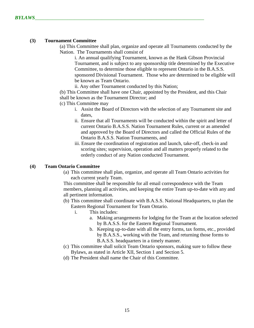#### **(3) Tournament Committee**

(a) This Committee shall plan, organize and operate all Tournaments conducted by the Nation. The Tournaments shall consist of

i. An annual qualifying Tournament, known as the Hank Gibson Provincial Tournament, and is subject to any sponsorship title determined by the Executive Committee, to determine those eligible to represent Ontario in the B.A.S.S. sponsored Divisional Tournament. Those who are determined to be eligible will be known as Team Ontario.

ii. Any other Tournament conducted by this Nation;

 (b) This Committee shall have one Chair, appointed by the President, and this Chair shall be known as the Tournament Director; and

(c) This Committee may

- i. Assist the Board of Directors with the selection of any Tournament site and dates,
- ii. Ensure that all Tournaments will be conducted within the spirit and letter of current Ontario B.A.S.S. Nation Tournament Rules, current or as amended and approved by the Board of Directors and called the Official Rules of the Ontario B.A.S.S. Nation Tournaments, and
- iii. Ensure the coordination of registration and launch, take-off, check-in and scoring sites; supervision, operation and all matters properly related to the orderly conduct of any Nation conducted Tournament.

#### **(4) Team Ontario Committee**

(a) This committee shall plan, organize, and operate all Team Ontario activities for each current yearly Team.

This committee shall be responsible for all email correspondence with the Team members, planning all activities, and keeping the entire Team up-to-date with any and all pertinent information.

- (b) This committee shall coordinate with B.A.S.S. National Headquarters, to plan the Eastern Regional Tournament for Team Ontario.
	- i. This includes:
		- a. Making arrangements for lodging for the Team at the location selected by B.A.S.S. for the Eastern Regional Tournament.
		- b. Keeping up-to-date with all the entry forms, tax forms, etc., provided by B.A.S.S., working with the Team, and returning those forms to B.A.S.S. headquarters in a timely manner.
- (c) This committee shall solicit Team Ontario sponsors, making sure to follow these Bylaws, as stated in Article XII, Section 1 and Section 5.
- (d) The President shall name the Chair of this Committee.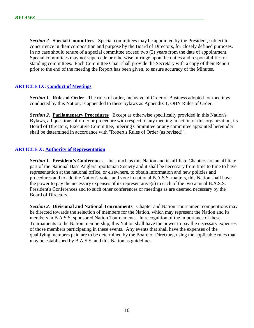**Section 2. Special Committees** Special committees may be appointed by the President, subject to concurrence in their composition and purpose by the Board of Directors, for closely defined purposes. In no case should tenure of a special committee exceed two (2) years from the date of appointment. Special committees may not supercede or otherwise infringe upon the duties and responsibilities of standing committees. Each Committee Chair shall provide the Secretary with a copy of their Report prior to the end of the meeting the Report has been given, to ensure accuracy of the Minutes.

## **ARTICLE IX: Conduct of Meetings**

*Section 1*. **Rules of Order** The rules of order, inclusive of Order of Business adopted for meetings conducted by this Nation, is appended to these bylaws as Appendix 1, OBN Rules of Order.

*Section 2*. **Parliamentary Procedures** Except as otherwise specifically provided in this Nation's Bylaws, all questions of order or procedure with respect to any meeting in action of this organization, its Board of Directors, Executive Committee, Steering Committee or any committee appointed hereunder shall be determined in accordance with "Robert's Rules of Order (as revised)".

## **ARTICLE X: Authority of Representation**

*Section 1*. **President's Conferences** Inasmuch as this Nation and its affiliate Chapters are an affiliate part of the National Bass Anglers Sportsman Society and it shall be necessary from time to time to have representation at the national office, or elsewhere, to obtain information and new policies and procedures and to add the Nation's voice and vote in national B.A.S.S. matters, this Nation shall have the power to pay the necessary expenses of its representative(s) to each of the two annual B.A.S.S. President's Conferences and to such other conferences or meetings as are deemed necessary by the Board of Directors.

*Section 2*. **Divisional and National Tournaments** Chapter and Nation Tournament competitions may be directed towards the selection of members for the Nation, which may represent the Nation and its members in B.A.S.S. sponsored Nation Tournaments. In recognition of the importance of these Tournaments to the Nation membership, this Nation shall have the power to pay the necessary expenses of those members participating in these events. Any events that shall have the expenses of the qualifying members paid are to be determined by the Board of Directors, using the applicable rules that may be established by B.A.S.S. and this Nation as guidelines.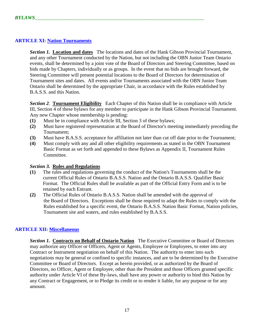## **ARTICLE XI: Nation Tournaments**

*Section 1.* **Location and dates** The locations and dates of the Hank Gibson Provincial Tournament, and any other Tournament conducted by the Nation, but not including the OBN Junior Team Ontario events, shall be determined by a joint vote of the Board of Directors and Steering Committee, based on bids made by Chapters, individually or as groups. In the event that no bids are brought forward, the Steering Committee will present potential locations to the Board of Directors for determination of Tournament sites and dates. All events and/or Tournaments associated with the OBN Junior Team Ontario shall be determined by the appropriate Chair, in accordance with the Rules established by B.A.S.S. and this Nation.

*Section 2*. **Tournament Eligibility** Each Chapter of this Nation shall be in compliance with Article III, Section 4 of these bylaws for any member to participate in the Hank Gibson Provincial Tournament. Any new Chapter whose membership is pending:

- **(1)** Must be in compliance with Article III, Section 3 of these bylaws;
- **(2)** Must have registered representation at the Board of Director's meeting immediately preceding the Tournament;
- **(3)** Must have B.A.S.S. acceptance for affiliation not later than cut off date prior to the Tournament;
- **(4)** Must comply with any and all other eligibility requirements as stated in the OBN Tournament Basic Format as set forth and appended to these Bylaws as Appendix II, Tournament Rules Committee.

#### *Section 3.* **Rules and Regulations**

- **(1)** The rules and regulations governing the conduct of the Nation's Tournaments shall be the current Official Rules of Ontario B.A.S.S. Nation and the Ontario B.A.S.S. Qualifier Basic Format. The Official Rules shall be available as part of the Official Entry Form and is to be retained by each Entrant.
- **(2)** The Official Rules of Ontario B.A.S.S. Nation shall be amended with the approval of the Board of Directors. Exceptions shall be those required to adapt the Rules to comply with the Rules established for a specific event, the Ontario B.A.S.S. Nation Basic Format, Nation policies, Tournament site and waters, and rules established by B.A.S.S.

## **ARTICLE XII: Miscellaneous**

*Section 1.* **Contracts on Behalf of Ontario Nation** The Executive Committee or Board of Directors may authorize any Officer or Officers, Agent or Agents, Employee or Employees, to enter into any Contract or Instrument negotiation on behalf of this Nation. The authority to enter into such negotiations may be general or confined to specific instances, and are to be determined by the Executive Committee or Board of Directors. Except as herein provided, or as authorized by the Board of Directors, no Officer, Agent or Employee, other than the President and those Officers granted specific authority under Article VI of these By-laws, shall have any power or authority to bind this Nation by any Contract or Engagement, or to Pledge its credit or to render it liable, for any purpose or for any amount.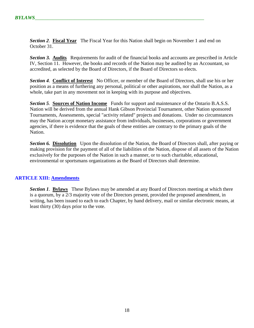**Section 2. Fiscal Year** The Fiscal Year for this Nation shall begin on November 1 and end on October 31.

*Section 3.* **Audits** Requirements for audit of the financial books and accounts are prescribed in Article IV, Section 11. However, the books and records of the Nation may be audited by an Accountant, so accredited, as selected by the Board of Directors, if the Board of Directors so elects.

*Section 4*. **Conflict of Interest** No Officer, or member of the Board of Directors, shall use his or her position as a means of furthering any personal, political or other aspirations, nor shall the Nation, as a whole, take part in any movement not in keeping with its purpose and objectives.

*Section 5*. **Sources of Nation Income** Funds for support and maintenance of the Ontario B.A.S.S. Nation will be derived from the annual Hank Gibson Provincial Tournament, other Nation sponsored Tournaments, Assessments, special "activity related" projects and donations. Under no circumstances may the Nation accept monetary assistance from individuals, businesses, corporations or government agencies, if there is evidence that the goals of these entities are contrary to the primary goals of the Nation.

*Section 6.* **Dissolution** Upon the dissolution of the Nation, the Board of Directors shall, after paying or making provision for the payment of all of the liabilities of the Nation, dispose of all assets of the Nation exclusively for the purposes of the Nation in such a manner, or to such charitable, educational, environmental or sportsmans organizations as the Board of Directors shall determine.

## **ARTICLE XIII: Amendments**

*Section 1*. **Bylaws** These Bylaws may be amended at any Board of Directors meeting at which there is a quorum, by a 2/3 majority vote of the Directors present, provided the proposed amendment, in writing, has been issued to each to each Chapter, by hand delivery, mail or similar electronic means, at least thirty (30) days prior to the vote.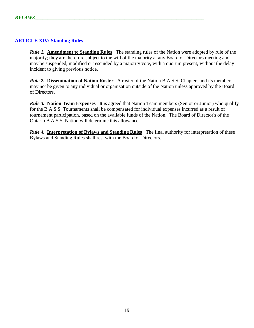## **ARTICLE XIV: Standing Rules**

*Rule 1.* **Amendment to Standing Rules** The standing rules of the Nation were adopted by rule of the majority; they are therefore subject to the will of the majority at any Board of Directors meeting and may be suspended, modified or rescinded by a majority vote, with a quorum present, without the delay incident to giving previous notice.

*Rule 2.* **Dissemination of Nation Roster** A roster of the Nation B.A.S.S. Chapters and its members may not be given to any individual or organization outside of the Nation unless approved by the Board of Directors.

*Rule 3.* **Nation Team Expenses** It is agreed that Nation Team members (Senior or Junior) who qualify for the B.A.S.S. Tournaments shall be compensated for individual expenses incurred as a result of tournament participation, based on the available funds of the Nation. The Board of Director's of the Ontario B.A.S.S. Nation will determine this allowance.

*Rule 4.* **Interpretation of Bylaws and Standing Rules** The final authority for interpretation of these Bylaws and Standing Rules shall rest with the Board of Directors.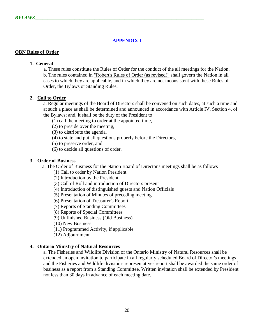## **APPENDIX I**

#### **OBN Rules of Order**

## **1. General**

 a. These rules constitute the Rules of Order for the conduct of the all meetings for the Nation. b. The rules contained in "Robert's Rules of Order (as revised)" shall govern the Nation in all cases to which they are applicable, and in which they are not inconsistent with these Rules of Order, the Bylaws or Standing Rules.

## **2. Call to Order**

a. Regular meetings of the Board of Directors shall be convened on such dates, at such a time and at such a place as shall be determined and announced in accordance with Article IV, Section 4, of the Bylaws; and, it shall be the duty of the President to

(1) call the meeting to order at the appointed time,

- (2) to preside over the meeting,
- (3) to distribute the agenda,
- (4) to state and put all questions properly before the Directors,
- (5) to preserve order, and
- (6) to decide all questions of order.

#### **3. Order of Business**

a. The Order of Business for the Nation Board of Director's meetings shall be as follows

- (1) Call to order by Nation President
- (2) Introduction by the President
- (3) Call of Roll and introduction of Directors present
- (4) Introduction of distinguished guests and Nation Officials
- (5) Presentation of Minutes of preceding meeting
- (6) Presentation of Treasurer's Report
- (7) Reports of Standing Committees
- (8) Reports of Special Committees
- (9) Unfinished Business (Old Business)
- (10) New Business
- (11) Programmed Activity, if applicable
- (12) Adjournment

#### **4. Ontario Ministry of Natural Resources**

a. The Fisheries and Wildlife Division of the Ontario Ministry of Natural Resources shall be extended an open invitation to participate in all regularly scheduled Board of Director's meetings and the Fisheries and Wildlife division's representatives report shall be awarded the same order of business as a report from a Standing Committee. Written invitation shall be extended by President not less than 30 days in advance of each meeting date.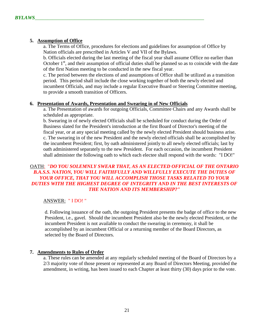## **5. Assumption of Office**

a. The Terms of Office, procedures for elections and guidelines for assumption of Office by Nation officials are prescribed in Articles V and VII of the Bylaws.

b. Officials elected during the last meeting of the fiscal year shall assume Office no earlier than October  $1<sup>st</sup>$ , and their assumption of official duties shall be planned so as to coincide with the date of the first Nation meeting to be conducted in the new fiscal year.

c. The period between the elections of and assumptions of Office shall be utilized as a transition period. This period shall include the close working together of both the newly elected and incumbent Officials, and may include a regular Executive Board or Steering Committee meeting, to provide a smooth transition of Officers.

## **6. Presentation of Awards, Presentation and Swearing in of New Officials**

a. The Presentation of awards for outgoing Officials, Committee Chairs and any Awards shall be scheduled as appropriate.

b. Swearing in of newly elected Officials shall be scheduled for conduct during the Order of Business slated for the President's introduction at the first Board of Director's meeting of the fiscal year, or at any special meeting called by the newly elected President should business arise. c. The swearing in of the new President and the newly elected officials shall be accomplished by the incumbent President; first, by oath administered jointly to all newly elected officials; last by oath administered separately to the new President. For each occasion, the incumbent President shall administer the following oath to which each electee shall respond with the words: "I DO!"

## OATH: "*DO YOU SOLEMNLY SWEAR THAT, AS AN ELECTED OFFICIAL OF THE ONTARIO B.A.S.S. NATION, YOU WILL FAITHFULLY AND WILLFULLY EXECUTE THE DUTIES OF YOUR OFFICE, THAT YOU WILL ACCOMPLISH THOSE TASKS RELATED TO YOUR DUTIES WITH THE HIGHEST DEGREE OF INTEGRITY AND IN THE BEST INTERESTS OF THE NATION AND ITS MEMBERSHIP?"*

## ANSWER: " I DO! "

d. Following issuance of the oath, the outgoing President presents the badge of office to the new President, i.e., gavel. Should the incumbent President also be the newly elected President, or the incumbent President is not available to conduct the swearing in ceremony, it shall be accomplished by an incumbent Official or a returning member of the Board Directors, as selected by the Board of Directors.

## **7. Amendments to Rules of Order**

a. These rules can be amended at any regularly scheduled meeting of the Board of Directors by a 2/3 majority vote of those present or represented at any Board of Directors Meeting, provided the amendment, in writing, has been issued to each Chapter at least thirty (30) days prior to the vote.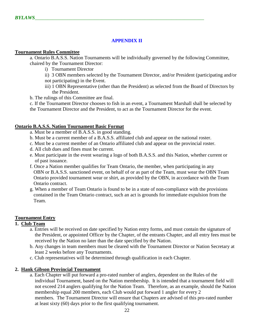## **APPENDIX II**

#### **Tournament Rules Committee**

a. Ontario B.A.S.S. Nation Tournaments will be individually governed by the following Committee, chaired by the Tournament Director:

- i) Tournament Director
- ii) 3 OBN members selected by the Tournament Director, and/or President (participating and/or not participating) in the Event.
- iii) 1 OBN Representative (other than the President) as selected from the Board of Directors by the President.
- b. The rulings of this Committee are final.

c. If the Tournament Director chooses to fish in an event, a Tournament Marshall shall be selected by the Tournament Director and the President, to act as the Tournament Director for the event.

## **Ontario B.A.S.S. Nation Tournament Basic Format**

- a. Must be a member of B.A.S.S. in good standing.
- b. Must be a current member of a B.A.S.S. affiliated club and appear on the national roster.
- c. Must be a current member of an Ontario affiliated club and appear on the provincial roster.
- d. All club dues and fines must be current.
- e. Must participate in the event wearing a logo of both B.A.S.S. and this Nation, whether current or of past issuance.
- f. Once a Nation member qualifies for Team Ontario, the member, when participating in any OBN or B.A.S.S. sanctioned event, on behalf of or as part of the Team, must wear the OBN Team Ontario provided tournament wear or shirt, as provided by the OBN, in accordance with the Team Ontario contract.
- g. When a member of Team Ontario is found to be in a state of non-compliance with the provisions contained in the Team Ontario contract, such an act is grounds for immediate expulsion from the Team.

## **Tournament Entry**

## **1. Club Team**

- a. Entries will be received on date specified by Nation entry forms, and must contain the signature of the President, or appointed Officer by the Chapter, of the entrants Chapter, and all entry fees must be received by the Nation no later than the date specified by the Nation.
- b. Any changes in team members must be cleared with the Tournament Director or Nation Secretary at least 2 weeks before any Tournaments.
- c. Club representatives will be determined through qualification in each Chapter.

## **2. Hank Gibson Provincial Tournament**

a. Each Chapter will put forward a pro-rated number of anglers, dependent on the Rules of the individual Tournament, based on the Nation membership. It is intended that a tournament field will not exceed 214 anglers qualifying for the Nation Team. Therefore, as an example, should the Nation membership equal 200 members, each Club would put forward 1 angler for every 2 members. The Tournament Director will ensure that Chapters are advised of this pro-rated number at least sixty (60) days prior to the first qualifying tournament.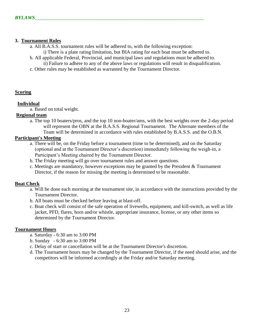## **3. Tournament Rules**

- a. All B.A.S.S. tournament rules will be adhered to, with the following exception:
	- i) There is a plate rating limitation, but BIA rating for each boat must be adhered to.
- b. All applicable Federal, Provincial, and municipal laws and regulations must be adhered to. ii) Failure to adhere to any of the above laws or regulations will result in disqualification.
- c. Other rules may be established as warranted by the Tournament Director.

## **Scoring**

## **Individual**

a. Based on total weight.

## **Regional team**

a. The top 10 boaters/pros, and the top 10 non-boater/ams, with the best weights over the 2-day period will represent the OBN at the B.A.S.S. Regional Tournament. The Alternate members of the Team will be determined in accordance with rules established by B.A.S.S. and the O.B.N.

## **Participant's Meeting**

- a. There will be, on the Friday before a tournament (time to be determined), and on the Saturday (optional and at the Tournament Director's discretion) immediately following the weigh-in, a Participant's Meeting chaired by the Tournament Director.
- b. The Friday meeting will go over tournament rules and answer questions.
- c. Meetings are mandatory, however exceptions may be granted by the President & Tournament Director, if the reason for missing the meeting is determined to be reasonable.

## **Boat Check**

- a. Will be done each morning at the tournament site, in accordance with the instructions provided by the Tournament Director.
- b. All boats must be checked before leaving at blast-off.
- c. Boat check will consist of the safe operation of livewells, equipment, and kill-switch, as well as life jacket, PFD, flares, horn and/or whistle, appropriate insurance, license, or any other items so determined by the Tournament Director.

## **Tournament Hours**

- a. Saturday 6:30 am to 3:00 PM
- b. Sunday 6:30 am to 3:00 PM
- c. Delay of start or cancellation will be at the Tournament Director's discretion.
- d. The Tournament hours may be changed by the Tournament Director, if the need should arise, and the competitors will be informed accordingly at the Friday and/or Saturday meeting.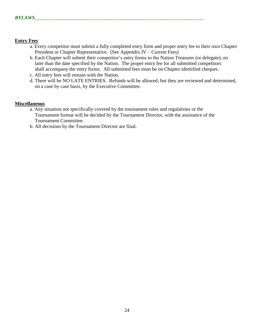## **Entry Fees**

- a. Every competitor must submit a fully completed entry form and proper entry fee to their own Chapter President or Chapter Representative. (See Appendix IV – Current Fees)
- b. Each Chapter will submit their competitor's entry forms to the Nation Treasurer (or delegate), no later than the date specified by the Nation. The proper entry fee for all submitted competitors shall accompany the entry forms. All submitted fees must be on Chapter identified cheques.
- c. All entry fees will remain with the Nation.
- d. There will be NO LATE ENTRIES. Refunds will be allowed, but they are reviewed and determined, on a case by case basis, by the Executive Committee.

## **Miscellaneous**

- a. Any situation not specifically covered by the tournament rules and regulations or the Tournament format will be decided by the Tournament Director, with the assistance of the Tournament Committee.
- b. All decisions by the Tournament Director are final.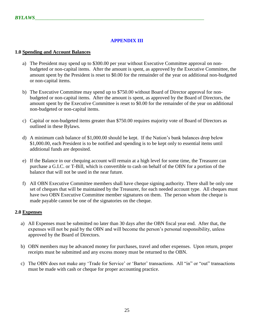## **APPENDIX III**

## **1.0 Spending and Account Balances**

- a) The President may spend up to \$300.00 per year without Executive Committee approval on nonbudgeted or non-capital items. After the amount is spent, as approved by the Executive Committee, the amount spent by the President is reset to \$0.00 for the remainder of the year on additional non-budgeted or non-capital items.
- b) The Executive Committee may spend up to \$750.00 without Board of Director approval for nonbudgeted or non-capital items. After the amount is spent, as approved by the Board of Directors, the amount spent by the Executive Committee is reset to \$0.00 for the remainder of the year on additional non-budgeted or non-capital items.
- c) Capital or non-budgeted items greater than \$750.00 requires majority vote of Board of Directors as outlined in these Bylaws.
- d) A minimum cash balance of \$1,000.00 should be kept. If the Nation's bank balances drop below \$1,000.00, each President is to be notified and spending is to be kept only to essential items until additional funds are deposited.
- e) If the Balance in our chequing account will remain at a high level for some time, the Treasurer can purchase a G.I.C. or T-Bill, which is convertible to cash on behalf of the OBN for a portion of the balance that will not be used in the near future.
- f) All OBN Executive Committee members shall have cheque signing authority. There shall be only one set of cheques that will be maintained by the Treasurer, for each needed account type. All cheques must have two OBN Executive Committee member signatures on them. The person whom the cheque is made payable cannot be one of the signatories on the cheque.

## **2.0 Expenses**

- a) All Expenses must be submitted no later than 30 days after the OBN fiscal year end. After that, the expenses will not be paid by the OBN and will become the person's personal responsibility, unless approved by the Board of Directors.
- b) OBN members may be advanced money for purchases, travel and other expenses. Upon return, proper receipts must be submitted and any excess money must be returned to the OBN.
- c) The OBN does not make any 'Trade for Service' or 'Barter' transactions. All "in" or "out" transactions must be made with cash or cheque for proper accounting practice.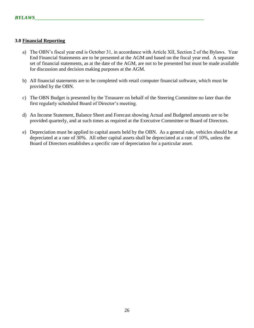## **3.0 Financial Reporting**

- a) The OBN's fiscal year end is October 31, in accordance with Article XII, Section 2 of the Bylaws. Year End Financial Statements are to be presented at the AGM and based on the fiscal year end. A separate set of financial statements, as at the date of the AGM, are not to be presented but must be made available for discussion and decision making purposes at the AGM.
- b) All financial statements are to be completed with retail computer financial software, which must be provided by the OBN.
- c) The OBN Budget is presented by the Treasurer on behalf of the Steering Committee no later than the first regularly scheduled Board of Director's meeting.
- d) An Income Statement, Balance Sheet and Forecast showing Actual and Budgeted amounts are to be provided quarterly, and at such times as required at the Executive Committee or Board of Directors.
- e) Depreciation must be applied to capital assets held by the OBN. As a general rule, vehicles should be at depreciated at a rate of 30%. All other capital assets shall be depreciated at a rate of 10%, unless the Board of Directors establishes a specific rate of depreciation for a particular asset.